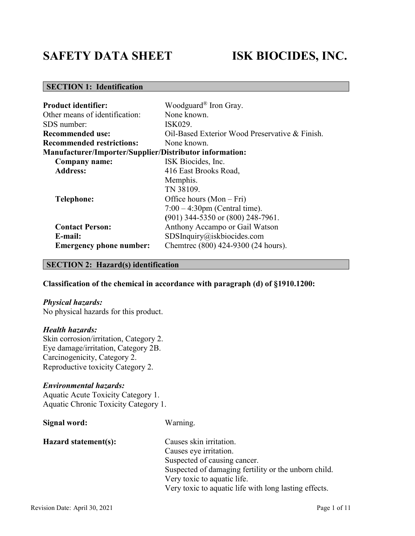# **SAFETY DATA SHEET ISK BIOCIDES, INC.**

# **SECTION 1: Identification**

| <b>Product identifier:</b>                                     | Woodguard® Iron Gray.                          |
|----------------------------------------------------------------|------------------------------------------------|
| Other means of identification:                                 | None known.                                    |
| SDS number:                                                    | ISK029.                                        |
| Recommended use:                                               | Oil-Based Exterior Wood Preservative & Finish. |
| <b>Recommended restrictions:</b>                               | None known.                                    |
| <b>Manufacturer/Importer/Supplier/Distributor information:</b> |                                                |
| Company name:                                                  | ISK Biocides, Inc.                             |
| <b>Address:</b>                                                | 416 East Brooks Road,                          |
|                                                                | Memphis.                                       |
|                                                                | TN 38109.                                      |
| <b>Telephone:</b>                                              | Office hours $(Mon-Fri)$                       |
|                                                                | $7:00 - 4:30$ pm (Central time).               |
|                                                                | (901) 344-5350 or (800) 248-7961.              |
| <b>Contact Person:</b>                                         | Anthony Accampo or Gail Watson                 |
| E-mail:                                                        | SDSInquiry@iskbiocides.com                     |
| <b>Emergency phone number:</b>                                 | Chemtrec (800) 424-9300 (24 hours).            |

# **SECTION 2: Hazard(s) identification**

# **Classification of the chemical in accordance with paragraph (d) of §1910.1200:**

#### *Physical hazards:*

No physical hazards for this product.

#### *Health hazards:*

Skin corrosion/irritation, Category 2. Eye damage/irritation, Category 2B. Carcinogenicity, Category 2. Reproductive toxicity Category 2.

# *Environmental hazards:*

Aquatic Acute Toxicity Category 1. Aquatic Chronic Toxicity Category 1.

| Signal word:         | Warning.                                              |
|----------------------|-------------------------------------------------------|
| Hazard statement(s): | Causes skin irritation.                               |
|                      | Causes eye irritation.                                |
|                      | Suspected of causing cancer.                          |
|                      | Suspected of damaging fertility or the unborn child.  |
|                      | Very toxic to aquatic life.                           |
|                      | Very toxic to aquatic life with long lasting effects. |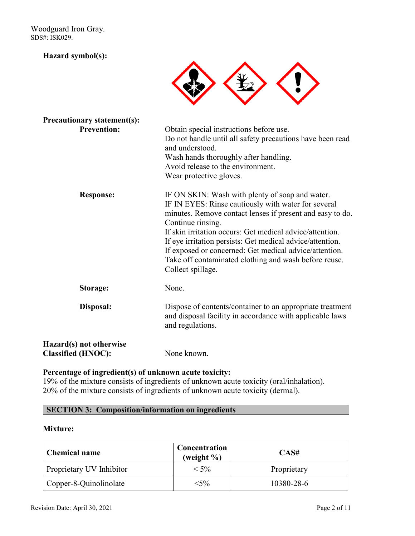Woodguard Iron Gray. SDS#: ISK029.

# **Hazard symbol(s):**



| <b>Precautionary statement(s):</b>                   |                                                                                                                                                                                                                                                                                                                                                                                                                                                           |
|------------------------------------------------------|-----------------------------------------------------------------------------------------------------------------------------------------------------------------------------------------------------------------------------------------------------------------------------------------------------------------------------------------------------------------------------------------------------------------------------------------------------------|
| <b>Prevention:</b>                                   | Obtain special instructions before use.<br>Do not handle until all safety precautions have been read<br>and understood.<br>Wash hands thoroughly after handling.<br>Avoid release to the environment.<br>Wear protective gloves.                                                                                                                                                                                                                          |
| <b>Response:</b>                                     | IF ON SKIN: Wash with plenty of soap and water.<br>IF IN EYES: Rinse cautiously with water for several<br>minutes. Remove contact lenses if present and easy to do.<br>Continue rinsing.<br>If skin irritation occurs: Get medical advice/attention.<br>If eye irritation persists: Get medical advice/attention.<br>If exposed or concerned: Get medical advice/attention.<br>Take off contaminated clothing and wash before reuse.<br>Collect spillage. |
| Storage:                                             | None.                                                                                                                                                                                                                                                                                                                                                                                                                                                     |
| Disposal:                                            | Dispose of contents/container to an appropriate treatment<br>and disposal facility in accordance with applicable laws<br>and regulations.                                                                                                                                                                                                                                                                                                                 |
| Hazard(s) not otherwise<br><b>Classified (HNOC):</b> | None known.                                                                                                                                                                                                                                                                                                                                                                                                                                               |

# **Percentage of ingredient(s) of unknown acute toxicity:**

19% of the mixture consists of ingredients of unknown acute toxicity (oral/inhalation). 20% of the mixture consists of ingredients of unknown acute toxicity (dermal).

# **SECTION 3: Composition/information on ingredients**

# **Mixture:**

| <b>Chemical name</b>     | Concentration<br>(weight $\%$ ) | CAS#        |
|--------------------------|---------------------------------|-------------|
| Proprietary UV Inhibitor | $< 5\%$                         | Proprietary |
| Copper-8-Quinolinolate   | $<$ 5%                          | 10380-28-6  |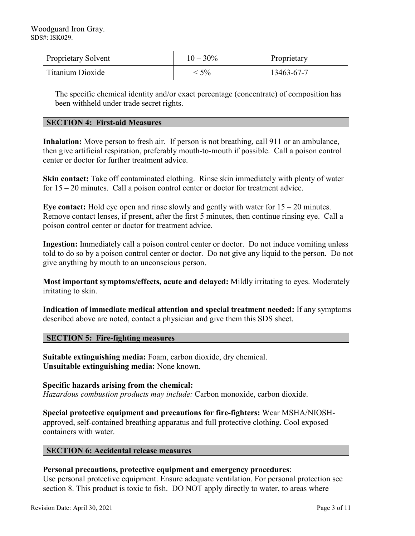| <b>Proprietary Solvent</b> | $10 - 30\%$ | Proprietary |
|----------------------------|-------------|-------------|
| Titanium Dioxide           | $5\%$       | 13463-67-7  |

The specific chemical identity and/or exact percentage (concentrate) of composition has been withheld under trade secret rights.

# **SECTION 4: First-aid Measures**

**Inhalation:** Move person to fresh air. If person is not breathing, call 911 or an ambulance, then give artificial respiration, preferably mouth-to-mouth if possible. Call a poison control center or doctor for further treatment advice.

**Skin contact:** Take off contaminated clothing. Rinse skin immediately with plenty of water for 15 – 20 minutes. Call a poison control center or doctor for treatment advice.

**Eye contact:** Hold eye open and rinse slowly and gently with water for 15 – 20 minutes. Remove contact lenses, if present, after the first 5 minutes, then continue rinsing eye. Call a poison control center or doctor for treatment advice.

**Ingestion:** Immediately call a poison control center or doctor. Do not induce vomiting unless told to do so by a poison control center or doctor. Do not give any liquid to the person. Do not give anything by mouth to an unconscious person.

**Most important symptoms/effects, acute and delayed:** Mildly irritating to eyes. Moderately irritating to skin.

**Indication of immediate medical attention and special treatment needed:** If any symptoms described above are noted, contact a physician and give them this SDS sheet.

## **SECTION 5: Fire-fighting measures**

**Suitable extinguishing media:** Foam, carbon dioxide, dry chemical. **Unsuitable extinguishing media:** None known.

**Specific hazards arising from the chemical:** *Hazardous combustion products may include:* Carbon monoxide, carbon dioxide.

**Special protective equipment and precautions for fire-fighters:** Wear MSHA/NIOSHapproved, self-contained breathing apparatus and full protective clothing. Cool exposed containers with water.

# **SECTION 6: Accidental release measures**

# **Personal precautions, protective equipment and emergency procedures**:

Use personal protective equipment. Ensure adequate ventilation. For personal protection see section 8. This product is toxic to fish. DO NOT apply directly to water, to areas where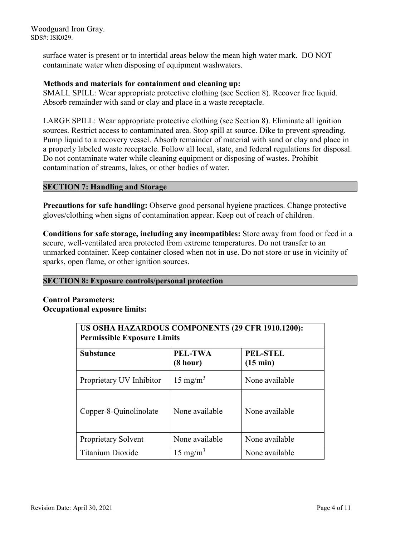Woodguard Iron Gray. SDS#: ISK029.

> surface water is present or to intertidal areas below the mean high water mark. DO NOT contaminate water when disposing of equipment washwaters.

# **Methods and materials for containment and cleaning up:**

SMALL SPILL: Wear appropriate protective clothing (see Section 8). Recover free liquid. Absorb remainder with sand or clay and place in a waste receptacle.

LARGE SPILL: Wear appropriate protective clothing (see Section 8). Eliminate all ignition sources. Restrict access to contaminated area. Stop spill at source. Dike to prevent spreading. Pump liquid to a recovery vessel. Absorb remainder of material with sand or clay and place in a properly labeled waste receptacle. Follow all local, state, and federal regulations for disposal. Do not contaminate water while cleaning equipment or disposing of wastes. Prohibit contamination of streams, lakes, or other bodies of water.

# **SECTION 7: Handling and Storage**

**Precautions for safe handling:** Observe good personal hygiene practices. Change protective gloves/clothing when signs of contamination appear. Keep out of reach of children.

**Conditions for safe storage, including any incompatibles:** Store away from food or feed in a secure, well-ventilated area protected from extreme temperatures. Do not transfer to an unmarked container. Keep container closed when not in use. Do not store or use in vicinity of sparks, open flame, or other ignition sources.

# **SECTION 8: Exposure controls/personal protection**

# **Control Parameters: Occupational exposure limits:**

| US OSHA HAZARDOUS COMPONENTS (29 CFR 1910.1200):<br><b>Permissible Exposure Limits</b> |                            |                                       |
|----------------------------------------------------------------------------------------|----------------------------|---------------------------------------|
| <b>Substance</b>                                                                       | <b>PEL-TWA</b><br>(8 hour) | <b>PEL-STEL</b><br>$(15 \text{ min})$ |
| Proprietary UV Inhibitor                                                               | $15 \text{ mg/m}^3$        | None available                        |
| Copper-8-Quinolinolate                                                                 | None available             | None available                        |
| Proprietary Solvent                                                                    | None available             | None available                        |
| Titanium Dioxide                                                                       | $15 \text{ mg/m}^3$        | None available                        |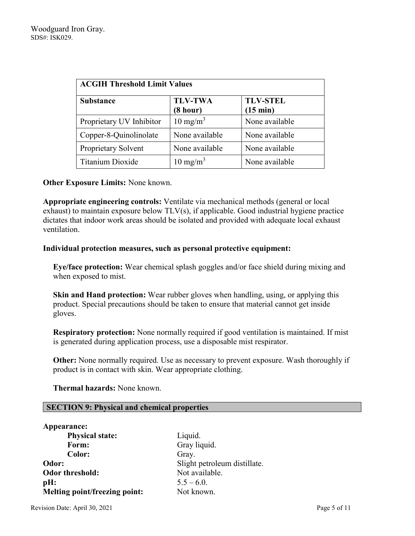| <b>ACGIH Threshold Limit Values</b> |                            |                             |
|-------------------------------------|----------------------------|-----------------------------|
| <b>Substance</b>                    | <b>TLV-TWA</b><br>(8 hour) | <b>TLV-STEL</b><br>(15 min) |
| Proprietary UV Inhibitor            | $10 \text{ mg/m}^3$        | None available              |
| Copper-8-Quinolinolate              | None available             | None available              |
| Proprietary Solvent                 | None available             | None available              |
| Titanium Dioxide                    | $10 \text{ mg/m}^3$        | None available              |

# **Other Exposure Limits:** None known.

**Appropriate engineering controls:** Ventilate via mechanical methods (general or local exhaust) to maintain exposure below TLV(s), if applicable. Good industrial hygiene practice dictates that indoor work areas should be isolated and provided with adequate local exhaust ventilation.

## **Individual protection measures, such as personal protective equipment:**

**Eye/face protection:** Wear chemical splash goggles and/or face shield during mixing and when exposed to mist.

**Skin and Hand protection:** Wear rubber gloves when handling, using, or applying this product. Special precautions should be taken to ensure that material cannot get inside gloves.

**Respiratory protection:** None normally required if good ventilation is maintained. If mist is generated during application process, use a disposable mist respirator.

**Other:** None normally required. Use as necessary to prevent exposure. Wash thoroughly if product is in contact with skin. Wear appropriate clothing.

 **Thermal hazards:** None known.

# **SECTION 9: Physical and chemical properties**

| Appearance:                          |                              |
|--------------------------------------|------------------------------|
| <b>Physical state:</b>               | Liquid.                      |
| Form:                                | Gray liquid.                 |
| Color:                               | Gray.                        |
| Odor:                                | Slight petroleum distillate. |
| <b>Odor threshold:</b>               | Not available.               |
| pH:                                  | $5.5 - 6.0$ .                |
| <b>Melting point/freezing point:</b> | Not known.                   |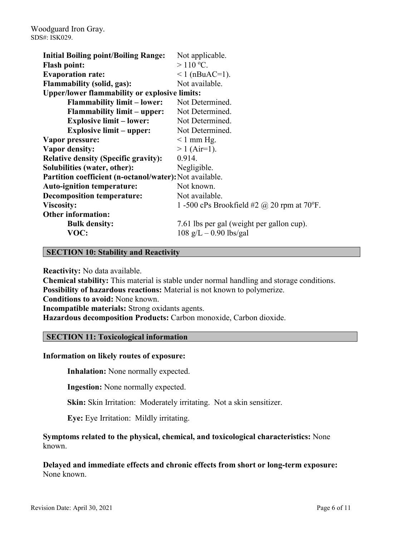| <b>Initial Boiling point/Boiling Range:</b>             | Not applicable.                                   |
|---------------------------------------------------------|---------------------------------------------------|
| <b>Flash point:</b>                                     | $>110$ °C.                                        |
| <b>Evaporation rate:</b>                                | $1$ (nBuAC=1).                                    |
| <b>Flammability (solid, gas):</b>                       | Not available.                                    |
| <b>Upper/lower flammability or explosive limits:</b>    |                                                   |
| <b>Flammability limit – lower:</b>                      | Not Determined.                                   |
| <b>Flammability limit – upper:</b>                      | Not Determined.                                   |
| <b>Explosive limit - lower:</b>                         | Not Determined.                                   |
| <b>Explosive limit – upper:</b>                         | Not Determined.                                   |
| Vapor pressure:                                         | $\leq 1$ mm Hg.                                   |
| <b>Vapor density:</b>                                   | $> 1$ (Air=1).                                    |
| <b>Relative density (Specific gravity):</b>             | 0.914.                                            |
| Solubilities (water, other):                            | Negligible.                                       |
| Partition coefficient (n-octanol/water): Not available. |                                                   |
| <b>Auto-ignition temperature:</b>                       | Not known.                                        |
| <b>Decomposition temperature:</b>                       | Not available.                                    |
| <b>Viscosity:</b>                                       | 1 -500 cPs Brookfield #2 $\omega$ 20 rpm at 70°F. |
| <b>Other information:</b>                               |                                                   |
| <b>Bulk density:</b>                                    | 7.61 lbs per gal (weight per gallon cup).         |
| VOC:                                                    | $108 \text{ g/L} - 0.90 \text{ lbs/gal}$          |

# **SECTION 10: Stability and Reactivity**

**Reactivity:** No data available.

**Chemical stability:** This material is stable under normal handling and storage conditions. **Possibility of hazardous reactions:** Material is not known to polymerize. **Conditions to avoid:** None known. **Incompatible materials:** Strong oxidants agents. **Hazardous decomposition Products:** Carbon monoxide, Carbon dioxide.

# **SECTION 11: Toxicological information**

## **Information on likely routes of exposure:**

**Inhalation:** None normally expected.

**Ingestion:** None normally expected.

**Skin:** Skin Irritation: Moderately irritating. Not a skin sensitizer.

**Eye:** Eye Irritation: Mildly irritating.

**Symptoms related to the physical, chemical, and toxicological characteristics:** None known.

**Delayed and immediate effects and chronic effects from short or long-term exposure:** None known.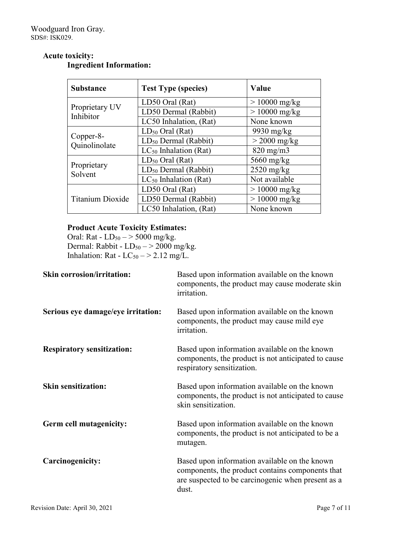# **Acute toxicity: Ingredient Information:**

| <b>Substance</b>            | <b>Test Type (species)</b>       | Value           |
|-----------------------------|----------------------------------|-----------------|
|                             | LD50 Oral (Rat)                  | $>10000$ mg/kg  |
| Proprietary UV<br>Inhibitor | LD50 Dermal (Rabbit)             | $> 10000$ mg/kg |
|                             | LC50 Inhalation, (Rat)           | None known      |
|                             | $LD_{50}$ Oral (Rat)             | $9930$ mg/kg    |
| Copper-8-<br>Quinolinolate  | $LD_{50}$ Dermal (Rabbit)        | $>$ 2000 mg/kg  |
|                             | $LC_{50}$ Inhalation (Rat)       | $820$ mg/m $3$  |
|                             | $LD_{50}$ Oral (Rat)             | 5660 mg/kg      |
| Proprietary<br>Solvent      | LD <sub>50</sub> Dermal (Rabbit) | $2520$ mg/kg    |
|                             | $LC_{50}$ Inhalation (Rat)       | Not available   |
|                             | LD50 Oral (Rat)                  | $> 10000$ mg/kg |
| <b>Titanium Dioxide</b>     | LD50 Dermal (Rabbit)             | $> 10000$ mg/kg |
|                             | LC50 Inhalation, (Rat)           | None known      |

# **Product Acute Toxicity Estimates:**

Oral: Rat -  $LD_{50} \rightarrow 5000$  mg/kg. Dermal: Rabbit -  $LD_{50} \rightarrow 2000$  mg/kg. Inhalation: Rat -  $LC_{50}$   $-$  > 2.12 mg/L.

| <b>Skin corrosion/irritation:</b>  | Based upon information available on the known<br>components, the product may cause moderate skin<br>irritation.                                                  |
|------------------------------------|------------------------------------------------------------------------------------------------------------------------------------------------------------------|
| Serious eye damage/eye irritation: | Based upon information available on the known<br>components, the product may cause mild eye<br>irritation.                                                       |
| <b>Respiratory sensitization:</b>  | Based upon information available on the known<br>components, the product is not anticipated to cause<br>respiratory sensitization.                               |
| <b>Skin sensitization:</b>         | Based upon information available on the known<br>components, the product is not anticipated to cause<br>skin sensitization.                                      |
| Germ cell mutagenicity:            | Based upon information available on the known<br>components, the product is not anticipated to be a<br>mutagen.                                                  |
| Carcinogenicity:                   | Based upon information available on the known<br>components, the product contains components that<br>are suspected to be carcinogenic when present as a<br>dust. |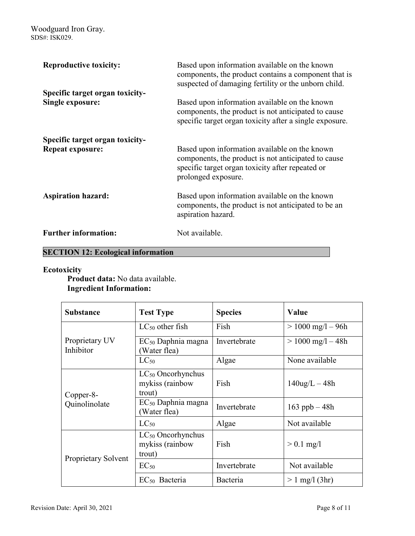| <b>Reproductive toxicity:</b>                              | Based upon information available on the known<br>components, the product contains a component that is<br>suspected of damaging fertility or the unborn child.                   |
|------------------------------------------------------------|---------------------------------------------------------------------------------------------------------------------------------------------------------------------------------|
| Specific target organ toxicity-<br><b>Single exposure:</b> | Based upon information available on the known<br>components, the product is not anticipated to cause<br>specific target organ toxicity after a single exposure.                 |
| Specific target organ toxicity-<br><b>Repeat exposure:</b> | Based upon information available on the known<br>components, the product is not anticipated to cause<br>specific target organ toxicity after repeated or<br>prolonged exposure. |
| <b>Aspiration hazard:</b>                                  | Based upon information available on the known<br>components, the product is not anticipated to be an<br>aspiration hazard.                                                      |
| <b>Further information:</b>                                | Not available.                                                                                                                                                                  |

# **SECTION 12: Ecological information**

# **Ecotoxicity**

**Product data:** No data available. **Ingredient Information:**

| <b>Substance</b>            | <b>Test Type</b>                                           | <b>Species</b> | Value                 |
|-----------------------------|------------------------------------------------------------|----------------|-----------------------|
| Proprietary UV<br>Inhibitor | $LC_{50}$ other fish                                       | Fish           | $> 1000$ mg/l $- 96h$ |
|                             | $EC_{50}$ Daphnia magna<br>Water flea)                     | Invertebrate   | $> 1000$ mg/l $- 48h$ |
|                             | $LC_{50}$                                                  | Algae          | None available        |
| Copper-8-<br>Quinolinolate  | $LC_{50}$ Oncorhynchus<br>mykiss (rainbow<br>trout)        | Fish           | $140$ ug/L $-48h$     |
|                             | $EC_{50}$ Daphnia magna<br>(Water flea)                    | Invertebrate   | 163 ppb $-48h$        |
|                             | $LC_{50}$                                                  | Algae          | Not available         |
| Proprietary Solvent         | LC <sub>50</sub> Oncorhynchus<br>mykiss (rainbow<br>trout) | Fish           | $> 0.1$ mg/l          |
|                             | $EC_{50}$                                                  | Invertebrate   | Not available         |
|                             | $EC_{50}$ Bacteria                                         | Bacteria       | $> 1$ mg/l (3hr)      |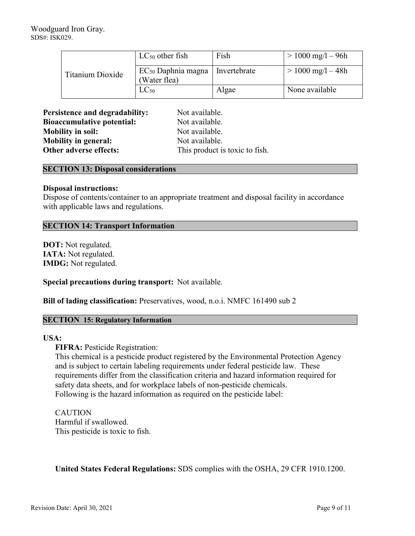| Titanium Dioxide | $LC_{50}$ other fish                    | Fish         | $> 1000$ mg/l – 96h |
|------------------|-----------------------------------------|--------------|---------------------|
|                  | $EC_{50}$ Daphnia magna<br>(Water flea) | Invertebrate | $> 1000$ mg/l – 48h |
|                  | $LC_{50}$                               | Algae        | None available      |

**Persistence and degradability:** Not available. **Bioaccumulative potential:** Not available. **Mobility in soil:** Not available. **Mobility in general:** Not available. **Other adverse effects:** This product is toxic to fish.

# **SECTION 13: Disposal considerations**

## **Disposal instructions:**

Dispose of contents/container to an appropriate treatment and disposal facility in accordance with applicable laws and regulations.

# **SECTION 14: Transport Information**

**DOT:** Not regulated. **IATA:** Not regulated. **IMDG:** Not regulated.

**Special precautions during transport:** Not available.

**Bill of lading classification:** Preservatives, wood, n.o.i. NMFC 161490 sub 2

# **SECTION 15: Regulatory Information**

## **USA:**

**FIFRA: Pesticide Registration:** 

This chemical is a pesticide product registered by the Environmental Protection Agency and is subject to certain labeling requirements under federal pesticide law. These requirements differ from the classification criteria and hazard information required for safety data sheets, and for workplace labels of non-pesticide chemicals. Following is the hazard information as required on the pesticide label:

# **CAUTION** Harmful if swallowed. This pesticide is toxic to fish.

**United States Federal Regulations:** SDS complies with the OSHA, 29 CFR 1910.1200.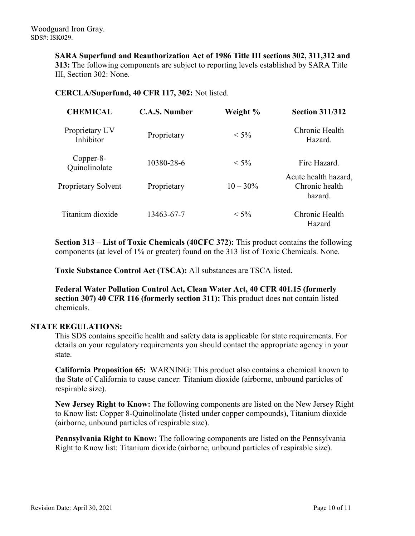**SARA Superfund and Reauthorization Act of 1986 Title III sections 302, 311,312 and 313:** The following components are subject to reporting levels established by SARA Title III, Section 302: None.

# **CERCLA/Superfund, 40 CFR 117, 302:** Not listed.

| <b>CHEMICAL</b>             | <b>C.A.S. Number</b> | Weight %    | <b>Section 311/312</b>                            |
|-----------------------------|----------------------|-------------|---------------------------------------------------|
| Proprietary UV<br>Inhibitor | Proprietary          | $< 5\%$     | Chronic Health<br>Hazard.                         |
| Copper-8-<br>Quinolinolate  | 10380-28-6           | $< 5\%$     | Fire Hazard.                                      |
| Proprietary Solvent         | Proprietary          | $10 - 30\%$ | Acute health hazard,<br>Chronic health<br>hazard. |
| Titanium dioxide            | 13463-67-7           | $< 5\%$     | Chronic Health<br>Hazard                          |

**Section 313 – List of Toxic Chemicals (40CFC 372):** This product contains the following components (at level of 1% or greater) found on the 313 list of Toxic Chemicals. None.

**Toxic Substance Control Act (TSCA):** All substances are TSCA listed.

**Federal Water Pollution Control Act, Clean Water Act, 40 CFR 401.15 (formerly section 307) 40 CFR 116 (formerly section 311):** This product does not contain listed chemicals.

# **STATE REGULATIONS:**

This SDS contains specific health and safety data is applicable for state requirements. For details on your regulatory requirements you should contact the appropriate agency in your state.

**California Proposition 65:** WARNING: This product also contains a chemical known to the State of California to cause cancer: Titanium dioxide (airborne, unbound particles of respirable size).

**New Jersey Right to Know:** The following components are listed on the New Jersey Right to Know list: Copper 8-Quinolinolate (listed under copper compounds), Titanium dioxide (airborne, unbound particles of respirable size).

**Pennsylvania Right to Know:** The following components are listed on the Pennsylvania Right to Know list: Titanium dioxide (airborne, unbound particles of respirable size).